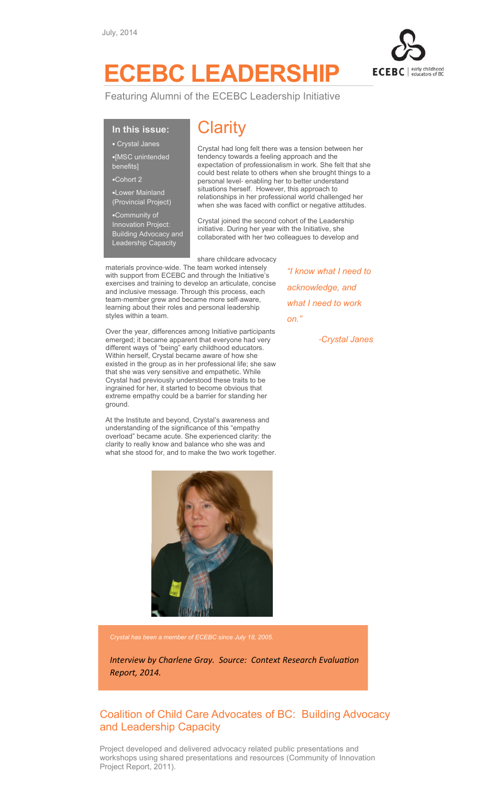

## ECEBC LEADERSHIP

Featuring Alumni of the ECEBC Leadership Initiative

## In this issue:

- Crystal Janes
- •[MSC unintended benefits]
- •Cohort 2
- 
- •Lower Mainland (Provincial Project)
- •Community of Innovation Project: Building Advocacy and Leadership Capacity

## **Clarity**

Crystal had long felt there was a tension between her tendency towards a feeling approach and the expectation of professionalism in work. She felt that she could best relate to others when she brought things to a personal level- enabling her to better understand situations herself. However, this approach to relationships in her professional world challenged her when she was faced with conflict or negative attitudes.

Crystal joined the second cohort of the Leadership initiative. During her year with the Initiative, she collaborated with her two colleagues to develop and

share childcare advocacy materials province-wide. The team worked intensely with support from ECEBC and through the Initiative's exercises and training to develop an articulate, concise and inclusive message. Through this process, each team-member grew and became more self-aware, learning about their roles and personal leadership styles within a team.

Over the year, differences among Initiative participants emerged; it became apparent that everyone had very different ways of "being" early childhood educators. Within herself, Crystal became aware of how she existed in the group as in her professional life; she saw that she was very sensitive and empathetic. While Crystal had previously understood these traits to be ingrained for her, it started to become obvious that extreme empathy could be a barrier for standing her ground.

At the Institute and beyond, Crystal's awareness and understanding of the significance of this "empathy overload" became acute. She experienced clarity: the clarity to really know and balance who she was and what she stood for, and to make the two work together.



"I know what I need to acknowledge, and what I need to work on."

-Crystal Janes

Crystal has been a member of ECEBC since July 18, 2005.

Interview by Charlene Gray. Source: Context Research Evaluation Report, 2014.

## Coalition of Child Care Advocates of BC: Building Advocacy and Leadership Capacity

Project developed and delivered advocacy related public presentations and workshops using shared presentations and resources (Community of Innovation Project Report, 2011).